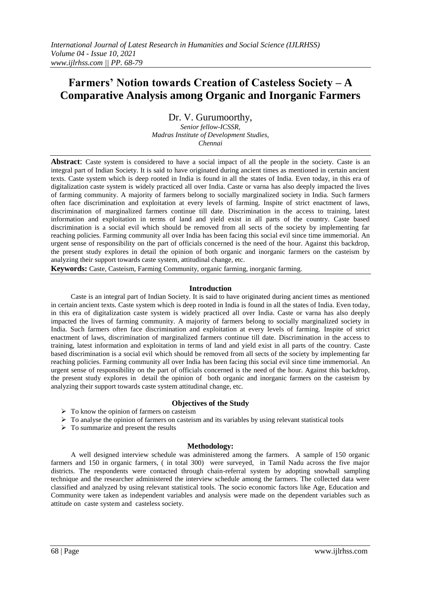# **Farmers' Notion towards Creation of Casteless Society – A Comparative Analysis among Organic and Inorganic Farmers**

Dr. V. Gurumoorthy,

*Senior fellow-ICSSR, Madras Institute of Development Studies, Chennai*

**Abstract**: Caste system is considered to have a social impact of all the people in the society. Caste is an integral part of Indian Society. It is said to have originated during ancient times as mentioned in certain ancient texts. Caste system which is deep rooted in India is found in all the states of India. Even today, in this era of digitalization caste system is widely practiced all over India. Caste or varna has also deeply impacted the lives of farming community. A majority of farmers belong to socially marginalized society in India. Such farmers often face discrimination and exploitation at every levels of farming. Inspite of strict enactment of laws, discrimination of marginalized farmers continue till date. Discrimination in the access to training, latest information and exploitation in terms of land and yield exist in all parts of the country. Caste based discrimination is a social evil which should be removed from all sects of the society by implementing far reaching policies. Farming community all over India has been facing this social evil since time immemorial. An urgent sense of responsibility on the part of officials concerned is the need of the hour. Against this backdrop, the present study explores in detail the opinion of both organic and inorganic farmers on the casteism by analyzing their support towards caste system, attitudinal change, etc.

**Keywords:** Caste, Casteism, Farming Community, organic farming, inorganic farming.

### **Introduction**

Caste is an integral part of Indian Society. It is said to have originated during ancient times as mentioned in certain ancient texts. Caste system which is deep rooted in India is found in all the states of India. Even today, in this era of digitalization caste system is widely practiced all over India. Caste or varna has also deeply impacted the lives of farming community. A majority of farmers belong to socially marginalized society in India. Such farmers often face discrimination and exploitation at every levels of farming. Inspite of strict enactment of laws, discrimination of marginalized farmers continue till date. Discrimination in the access to training, latest information and exploitation in terms of land and yield exist in all parts of the country. Caste based discrimination is a social evil which should be removed from all sects of the society by implementing far reaching policies. Farming community all over India has been facing this social evil since time immemorial. An urgent sense of responsibility on the part of officials concerned is the need of the hour. Against this backdrop, the present study explores in detail the opinion of both organic and inorganic farmers on the casteism by analyzing their support towards caste system attitudinal change, etc.

# **Objectives of the Study**

- $\triangleright$  To know the opinion of farmers on casteism
- $\triangleright$  To analyse the opinion of farmers on casteism and its variables by using relevant statistical tools
- $\triangleright$  To summarize and present the results

# **Methodology:**

A well designed interview schedule was administered among the farmers. A sample of 150 organic farmers and 150 in organic farmers, ( in total 300) were surveyed, in Tamil Nadu across the five major districts. The respondents were contacted through chain-referral system by adopting snowball sampling technique and the researcher administered the interview schedule among the farmers. The collected data were classified and analyzed by using relevant statistical tools. The socio economic factors like Age, Education and Community were taken as independent variables and analysis were made on the dependent variables such as attitude on caste system and casteless society.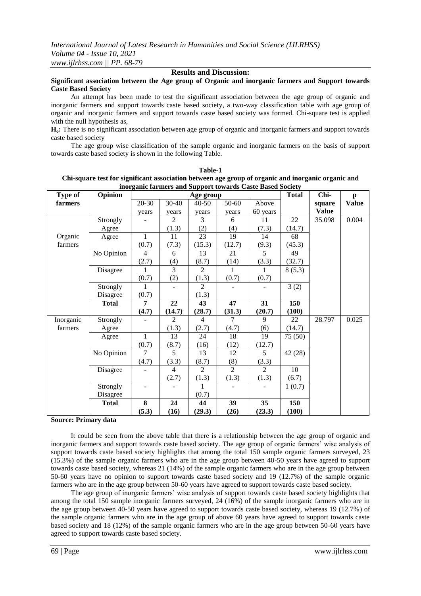### **Results and Discussion:**

### **Significant association between the Age group of Organic and inorganic farmers and Support towards Caste Based Society**

An attempt has been made to test the significant association between the age group of organic and inorganic farmers and support towards caste based society, a two-way classification table with age group of organic and inorganic farmers and support towards caste based society was formed. Chi-square test is applied with the null hypothesis as,

**Ho:** There is no significant association between age group of organic and inorganic farmers and support towards caste based society

The age group wise classification of the sample organic and inorganic farmers on the basis of support towards caste based society is shown in the following Table.

| Type of   | Opinion      |                | mic im mero mia ou | Age group      |                | pport to mar as caste Basea Society | <b>Total</b> | Chi-         | $\mathbf{p}$ |
|-----------|--------------|----------------|--------------------|----------------|----------------|-------------------------------------|--------------|--------------|--------------|
| farmers   |              | 20-30          | 30-40              | $40 - 50$      | 50-60          | Above                               |              | square       | <b>Value</b> |
|           |              | years          | years              | years          | years          | 60 years                            |              | <b>Value</b> |              |
|           | Strongly     |                | $\overline{2}$     | 3              | 6              | 11                                  | 22           | 35.098       | 0.004        |
|           | Agree        |                | (1.3)              | (2)            | (4)            | (7.3)                               | (14.7)       |              |              |
| Organic   | Agree        | $\mathbf{1}$   | 11                 | 23             | 19             | 14                                  | 68           |              |              |
| farmers   |              | (0.7)          | (7.3)              | (15.3)         | (12.7)         | (9.3)                               | (45.3)       |              |              |
|           | No Opinion   | $\overline{4}$ | 6                  | 13             | 21             | 5                                   | 49           |              |              |
|           |              | (2.7)          | (4)                | (8.7)          | (14)           | (3.3)                               | (32.7)       |              |              |
|           | Disagree     | 1              | $\overline{3}$     | $\overline{2}$ | 1              | $\mathbf{1}$                        | 8(5.3)       |              |              |
|           |              | (0.7)          | (2)                | (1.3)          | (0.7)          | (0.7)                               |              |              |              |
|           | Strongly     |                |                    | $\overline{2}$ |                |                                     | 3(2)         |              |              |
|           | Disagree     | (0.7)          |                    | (1.3)          |                |                                     |              |              |              |
|           | <b>Total</b> | $\overline{7}$ | 22                 | 43             | 47             | 31                                  | 150          |              |              |
|           |              | (4.7)          | (14.7)             | (28.7)         | (31.3)         | (20.7)                              | (100)        |              |              |
| Inorganic | Strongly     |                | $\overline{2}$     | $\overline{4}$ | $\tau$         | 9                                   | 22           | 28.797       | 0.025        |
| farmers   | Agree        |                | (1.3)              | (2.7)          | (4.7)          | (6)                                 | (14.7)       |              |              |
|           | Agree        | $\mathbf{1}$   | 13                 | 24             | 18             | 19                                  | 75 (50)      |              |              |
|           |              | (0.7)          | (8.7)              | (16)           | (12)           | (12.7)                              |              |              |              |
|           | No Opinion   | 7              | $\overline{5}$     | 13             | 12             | 5                                   | 42 (28)      |              |              |
|           |              | (4.7)          | (3.3)              | (8.7)          | (8)            | (3.3)                               |              |              |              |
|           | Disagree     |                | $\overline{4}$     | $\overline{2}$ | $\overline{2}$ | $\overline{2}$                      | 10           |              |              |
|           |              |                | (2.7)              | (1.3)          | (1.3)          | (1.3)                               | (6.7)        |              |              |
|           | Strongly     |                |                    | 1              |                |                                     | 1(0.7)       |              |              |
|           | Disagree     |                |                    | (0.7)          |                |                                     |              |              |              |
|           | <b>Total</b> | 8              | 24                 | 44             | 39             | 35                                  | 150          |              |              |
|           |              | (5.3)          | (16)               | (29.3)         | (26)           | (23.3)                              | (100)        |              |              |

**Table-1 Chi-square test for significant association between age group of organic and inorganic organic and inorganic farmers and Support towards Caste Based Society**

#### **Source: Primary data**

It could be seen from the above table that there is a relationship between the age group of organic and inorganic farmers and support towards caste based society. The age group of organic farmers' wise analysis of support towards caste based society highlights that among the total 150 sample organic farmers surveyed, 23 (15.3%) of the sample organic farmers who are in the age group between 40-50 years have agreed to support towards caste based society, whereas 21 (14%) of the sample organic farmers who are in the age group between 50-60 years have no opinion to support towards caste based society and 19 (12.7%) of the sample organic farmers who are in the age group between 50-60 years have agreed to support towards caste based society.

The age group of inorganic farmers' wise analysis of support towards caste based society highlights that among the total 150 sample inorganic farmers surveyed, 24 (16%) of the sample inorganic farmers who are in the age group between 40-50 years have agreed to support towards caste based society, whereas 19 (12.7%) of the sample organic farmers who are in the age group of above 60 years have agreed to support towards caste based society and 18 (12%) of the sample organic farmers who are in the age group between 50-60 years have agreed to support towards caste based society.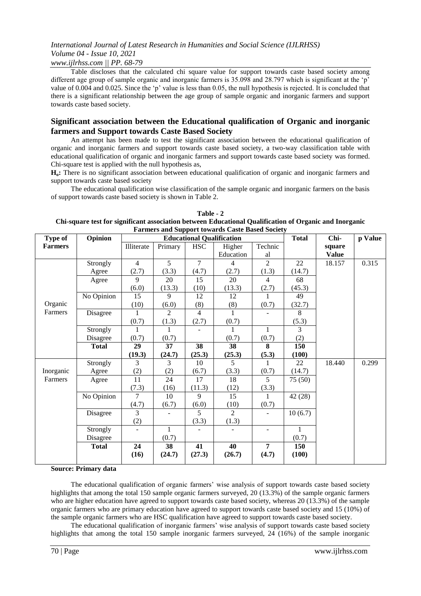### *www.ijlrhss.com || PP. 68-79*

Table discloses that the calculated chi square value for support towards caste based society among different age group of sample organic and inorganic farmers is 35.098 and 28.797 which is significant at the 'p' value of 0.004 and 0.025. Since the 'p' value is less than 0.05, the null hypothesis is rejected. It is concluded that there is a significant relationship between the age group of sample organic and inorganic farmers and support towards caste based society.

# **Significant association between the Educational qualification of Organic and inorganic farmers and Support towards Caste Based Society**

An attempt has been made to test the significant association between the educational qualification of organic and inorganic farmers and support towards caste based society, a two-way classification table with educational qualification of organic and inorganic farmers and support towards caste based society was formed. Chi-square test is applied with the null hypothesis as,

**Ho:** There is no significant association between educational qualification of organic and inorganic farmers and support towards caste based society

The educational qualification wise classification of the sample organic and inorganic farmers on the basis of support towards caste based society is shown in Table 2.

**Table - 2 Chi-square test for significant association between Educational Qualification of Organic and Inorganic Farmers and Support towards Caste Based Society**

| Type of        | Opinion      |                          |                |                          | Partiers and Support towards Caste Dased Society<br><b>Educational Qualification</b> |                | <b>Total</b> | Chi-         | p Value |
|----------------|--------------|--------------------------|----------------|--------------------------|--------------------------------------------------------------------------------------|----------------|--------------|--------------|---------|
| <b>Farmers</b> |              | Illiterate               | Primary        | <b>HSC</b>               | Higher                                                                               | Technic        |              | square       |         |
|                |              |                          |                |                          | Education                                                                            | al             |              | <b>Value</b> |         |
|                | Strongly     | $\overline{4}$           | $\overline{5}$ | $\overline{7}$           | 4                                                                                    | $\overline{2}$ | 22           | 18.157       | 0.315   |
|                | Agree        | (2.7)                    | (3.3)          | (4.7)                    | (2.7)                                                                                | (1.3)          | (14.7)       |              |         |
|                | Agree        | 9                        | 20             | 15                       | 20                                                                                   | $\overline{4}$ | 68           |              |         |
|                |              | (6.0)                    | (13.3)         | (10)                     | (13.3)                                                                               | (2.7)          | (45.3)       |              |         |
|                | No Opinion   | 15                       | 9              | 12                       | 12                                                                                   |                | 49           |              |         |
| Organic        |              | (10)                     | (6.0)          | (8)                      | (8)                                                                                  | (0.7)          | (32.7)       |              |         |
| Farmers        | Disagree     |                          | 2              | 4                        | 1                                                                                    |                | 8            |              |         |
|                |              | (0.7)                    | (1.3)          | (2.7)                    | (0.7)                                                                                |                | (5.3)        |              |         |
|                | Strongly     |                          |                | $\overline{\phantom{m}}$ | 1                                                                                    | 1              | 3            |              |         |
|                | Disagree     | (0.7)                    | (0.7)          |                          | (0.7)                                                                                | (0.7)          | (2)          |              |         |
|                | <b>Total</b> | 29                       | 37             | 38                       | 38                                                                                   | 8              | 150          |              |         |
|                |              | (19.3)                   | (24.7)         | (25.3)                   | (25.3)                                                                               | (5.3)          | (100)        |              |         |
|                | Strongly     | 3                        | 3              | 10                       | 5                                                                                    |                | 22           | 18.440       | 0.299   |
| Inorganic      | Agree        | (2)                      | (2)            | (6.7)                    | (3.3)                                                                                | (0.7)          | (14.7)       |              |         |
| Farmers        | Agree        | $\overline{11}$          | 24             | 17                       | 18                                                                                   | 5              | 75 (50)      |              |         |
|                |              | (7.3)                    | (16)           | (11.3)                   | (12)                                                                                 | (3.3)          |              |              |         |
|                | No Opinion   | 7                        | 10             | 9                        | 15                                                                                   | 1              | 42(28)       |              |         |
|                |              | (4.7)                    | (6.7)          | (6.0)                    | (10)                                                                                 | (0.7)          |              |              |         |
|                | Disagree     | $\overline{3}$           |                | 5                        | $\overline{2}$                                                                       |                | 10(6.7)      |              |         |
|                |              | (2)                      |                | (3.3)                    | (1.3)                                                                                |                |              |              |         |
|                | Strongly     | $\overline{\phantom{0}}$ | $\mathbf{1}$   |                          |                                                                                      |                | 1            |              |         |
|                | Disagree     |                          | (0.7)          |                          |                                                                                      |                | (0.7)        |              |         |
|                | <b>Total</b> | 24                       | 38             | 41                       | 40                                                                                   | $\overline{7}$ | 150          |              |         |
|                |              | (16)                     | (24.7)         | (27.3)                   | (26.7)                                                                               | (4.7)          | (100)        |              |         |
|                |              |                          |                |                          |                                                                                      |                |              |              |         |

### **Source: Primary data**

The educational qualification of organic farmers' wise analysis of support towards caste based society highlights that among the total 150 sample organic farmers surveyed, 20 (13.3%) of the sample organic farmers who are higher education have agreed to support towards caste based society, whereas 20 (13.3%) of the sample organic farmers who are primary education have agreed to support towards caste based society and 15 (10%) of the sample organic farmers who are HSC qualification have agreed to support towards caste based society.

The educational qualification of inorganic farmers' wise analysis of support towards caste based society highlights that among the total 150 sample inorganic farmers surveyed, 24 (16%) of the sample inorganic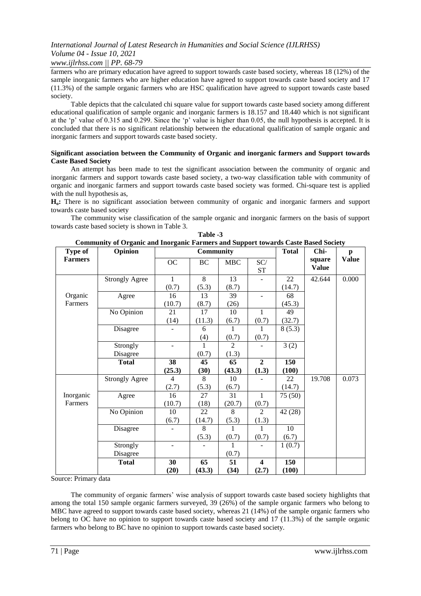### *www.ijlrhss.com || PP. 68-79*

farmers who are primary education have agreed to support towards caste based society, whereas 18 (12%) of the sample inorganic farmers who are higher education have agreed to support towards caste based society and 17 (11.3%) of the sample organic farmers who are HSC qualification have agreed to support towards caste based society.

Table depicts that the calculated chi square value for support towards caste based society among different educational qualification of sample organic and inorganic farmers is 18.157 and 18.440 which is not significant at the 'p' value of 0.315 and 0.299. Since the 'p' value is higher than 0.05, the null hypothesis is accepted. It is concluded that there is no significant relationship between the educational qualification of sample organic and inorganic farmers and support towards caste based society.

### **Significant association between the Community of Organic and inorganic farmers and Support towards Caste Based Society**

An attempt has been made to test the significant association between the community of organic and inorganic farmers and support towards caste based society, a two-way classification table with community of organic and inorganic farmers and support towards caste based society was formed. Chi-square test is applied with the null hypothesis as,

H<sub>o</sub>: There is no significant association between community of organic and inorganic farmers and support towards caste based society

The community wise classification of the sample organic and inorganic farmers on the basis of support towards caste based society is shown in Table 3.

| <b>Type of</b> | Community of Organic and morganic Farmers and Support towards Caste Based Society<br>Opinion |                          | <b>Community</b> |            |                                  | <b>Total</b> | Chi-         | $\mathbf{p}$ |
|----------------|----------------------------------------------------------------------------------------------|--------------------------|------------------|------------|----------------------------------|--------------|--------------|--------------|
| <b>Farmers</b> |                                                                                              | OC                       | BC               | <b>MBC</b> | SC/                              |              | square       | <b>Value</b> |
|                |                                                                                              |                          |                  |            | ST                               |              | <b>Value</b> |              |
|                | <b>Strongly Agree</b>                                                                        | 1                        | 8                | 13         | $\overline{\phantom{a}}$         | 22           | 42.644       | 0.000        |
|                |                                                                                              | (0.7)                    | (5.3)            | (8.7)      |                                  | (14.7)       |              |              |
| Organic        | Agree                                                                                        | 16                       | 13               | 39         |                                  | 68           |              |              |
| Farmers        |                                                                                              | (10.7)                   | (8.7)            | (26)       |                                  | (45.3)       |              |              |
|                | No Opinion                                                                                   | 21                       | 17               | 10         | 1                                | 49           |              |              |
|                |                                                                                              | (14)                     | (11.3)           | (6.7)      | (0.7)                            | (32.7)       |              |              |
|                | Disagree                                                                                     | $\overline{\phantom{0}}$ | 6                | 1          | $\mathbf{1}$                     | 8(5.3)       |              |              |
|                |                                                                                              |                          | (4)              | (0.7)      | (0.7)                            |              |              |              |
|                | Strongly                                                                                     |                          | 1                | 2          |                                  | 3(2)         |              |              |
|                | Disagree                                                                                     |                          | (0.7)            | (1.3)      |                                  |              |              |              |
|                | <b>Total</b>                                                                                 | 38                       | 45               | 65         | $\overline{2}$                   | 150          |              |              |
|                |                                                                                              |                          |                  |            |                                  |              |              |              |
|                |                                                                                              | (25.3)                   | (30)             | (43.3)     | (1.3)                            | (100)        |              |              |
|                | <b>Strongly Agree</b>                                                                        | 4                        | 8                | 10         |                                  | 22           | 19.708       | 0.073        |
|                |                                                                                              | (2.7)                    | (5.3)            | (6.7)      |                                  | (14.7)       |              |              |
| Inorganic      | Agree                                                                                        | 16                       | 27               | 31         | $\mathbf{1}$                     | 75 (50)      |              |              |
| Farmers        |                                                                                              | (10.7)                   | (18)             | (20.7)     | (0.7)                            |              |              |              |
|                | No Opinion                                                                                   | 10                       | 22               | 8          | $\mathfrak{D}$                   | 42(28)       |              |              |
|                |                                                                                              | (6.7)                    | (14.7)           | (5.3)      | (1.3)                            |              |              |              |
|                | Disagree                                                                                     |                          | 8                | 1          | 1                                | 10           |              |              |
|                |                                                                                              |                          | (5.3)            | (0.7)      | (0.7)                            | (6.7)        |              |              |
|                | Strongly                                                                                     |                          |                  |            |                                  | 1(0.7)       |              |              |
|                | Disagree                                                                                     |                          |                  | (0.7)      |                                  |              |              |              |
|                | <b>Total</b>                                                                                 | 30<br>(20)               | 65<br>(43.3)     | 51<br>(34) | $\overline{\mathbf{4}}$<br>(2.7) | 150<br>(100) |              |              |

**Table -3 Community of Organic and Inorganic Farmers and Support towards Caste Based Society**

Source: Primary data

The community of organic farmers' wise analysis of support towards caste based society highlights that among the total 150 sample organic farmers surveyed, 39 (26%) of the sample organic farmers who belong to MBC have agreed to support towards caste based society, whereas 21 (14%) of the sample organic farmers who belong to OC have no opinion to support towards caste based society and 17 (11.3%) of the sample organic farmers who belong to BC have no opinion to support towards caste based society.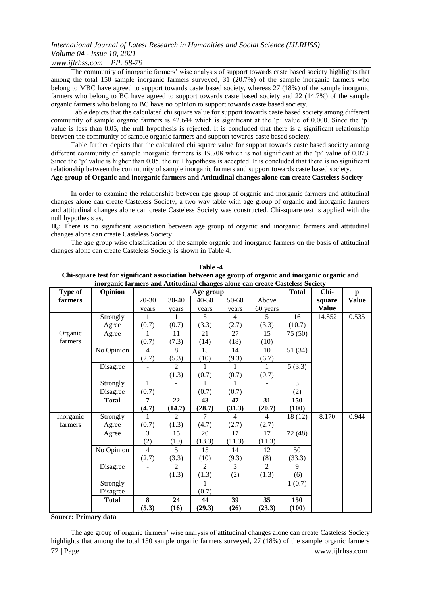# *www.ijlrhss.com || PP. 68-79*

The community of inorganic farmers' wise analysis of support towards caste based society highlights that among the total 150 sample inorganic farmers surveyed, 31 (20.7%) of the sample inorganic farmers who belong to MBC have agreed to support towards caste based society, whereas 27 (18%) of the sample inorganic farmers who belong to BC have agreed to support towards caste based society and 22 (14.7%) of the sample organic farmers who belong to BC have no opinion to support towards caste based society.

Table depicts that the calculated chi square value for support towards caste based society among different community of sample organic farmers is 42.644 which is significant at the 'p' value of 0.000. Since the 'p' value is less than 0.05, the null hypothesis is rejected. It is concluded that there is a significant relationship between the community of sample organic farmers and support towards caste based society.

Table further depicts that the calculated chi square value for support towards caste based society among different community of sample inorganic farmers is 19.708 which is not significant at the 'p' value of 0.073. Since the 'p' value is higher than 0.05, the null hypothesis is accepted. It is concluded that there is no significant relationship between the community of sample inorganic farmers and support towards caste based society.

### **Age group of Organic and inorganic farmers and Attitudinal changes alone can create Casteless Society**

In order to examine the relationship between age group of organic and inorganic farmers and attitudinal changes alone can create Casteless Society, a two way table with age group of organic and inorganic farmers and attitudinal changes alone can create Casteless Society was constructed. Chi-square test is applied with the null hypothesis as,

**Ho:** There is no significant association between age group of organic and inorganic farmers and attitudinal changes alone can create Casteless Society

The age group wise classification of the sample organic and inorganic farmers on the basis of attitudinal changes alone can create Casteless Society is shown in Table 4.

| Type of   | morganic narmers and returnanial enanges arone can ereate casteless boelety<br>Opinion |                |                | Age group      |                |                | <b>Total</b> | Chi-         | $\mathbf{p}$ |
|-----------|----------------------------------------------------------------------------------------|----------------|----------------|----------------|----------------|----------------|--------------|--------------|--------------|
| farmers   |                                                                                        | 20-30          | 30-40          | $40 - 50$      | 50-60          | Above          |              | square       | <b>Value</b> |
|           |                                                                                        | years          | years          | years          | years          | 60 years       |              | <b>Value</b> |              |
|           | Strongly                                                                               | 1              | 1              | 5              | $\overline{4}$ | 5              | 16           | 14.852       | 0.535        |
|           | Agree                                                                                  | (0.7)          | (0.7)          | (3.3)          | (2.7)          | (3.3)          | (10.7)       |              |              |
| Organic   | Agree                                                                                  | 1              | 11             | 21             | 27             | 15             | 75 (50)      |              |              |
| farmers   |                                                                                        | (0.7)          | (7.3)          | (14)           | (18)           | (10)           |              |              |              |
|           | No Opinion                                                                             | 4              | 8              | 15             | 14             | 10             | 51 (34)      |              |              |
|           |                                                                                        | (2.7)          | (5.3)          | (10)           | (9.3)          | (6.7)          |              |              |              |
|           | Disagree                                                                               |                | $\overline{2}$ | 1              | 1              | 1              | 5(3.3)       |              |              |
|           |                                                                                        |                | (1.3)          | (0.7)          | (0.7)          | (0.7)          |              |              |              |
|           | Strongly                                                                               | $\mathbf{1}$   |                | 1              |                |                | 3            |              |              |
|           | Disagree                                                                               | (0.7)          |                | (0.7)          | (0.7)          |                | (2)          |              |              |
|           | <b>Total</b>                                                                           | 7              | 22             | 43             | 47             | 31             | 150          |              |              |
|           |                                                                                        | (4.7)          | (14.7)         | (28.7)         | (31.3)         | (20.7)         | (100)        |              |              |
| Inorganic | Strongly                                                                               |                | $\overline{2}$ | 7              | $\overline{4}$ | $\overline{4}$ | 18 (12)      | 8.170        | 0.944        |
| farmers   | Agree                                                                                  | (0.7)          | (1.3)          | (4.7)          | (2.7)          | (2.7)          |              |              |              |
|           | Agree                                                                                  | 3              | 15             | 20             | 17             | 17             | 72 (48)      |              |              |
|           |                                                                                        | (2)            | (10)           | (13.3)         | (11.3)         | (11.3)         |              |              |              |
|           | No Opinion                                                                             | $\overline{4}$ | $\overline{5}$ | 15             | 14             | 12             | 50           |              |              |
|           |                                                                                        | (2.7)          | (3.3)          | (10)           | (9.3)          | (8)            | (33.3)       |              |              |
|           | Disagree                                                                               |                | $\overline{2}$ | $\mathfrak{D}$ | 3              | $\overline{2}$ | 9            |              |              |
|           |                                                                                        |                | (1.3)          | (1.3)          | (2)            | (1.3)          | (6)          |              |              |
|           | Strongly                                                                               |                |                | 1              |                |                | 1(0.7)       |              |              |
|           | Disagree                                                                               |                |                | (0.7)          |                |                |              |              |              |
|           | <b>Total</b>                                                                           | 8              | 24             | 44             | 39             | 35             | 150          |              |              |
|           |                                                                                        | (5.3)          | (16)           | (29.3)         | (26)           | (23.3)         | (100)        |              |              |

**Table -4 Chi-square test for significant association between age group of organic and inorganic organic and inorganic farmers and Attitudinal changes alone can create Casteless Society**

#### **Source: Primary data**

72 | Page www.ijlrhss.com The age group of organic farmers' wise analysis of attitudinal changes alone can create Casteless Society highlights that among the total 150 sample organic farmers surveyed, 27 (18%) of the sample organic farmers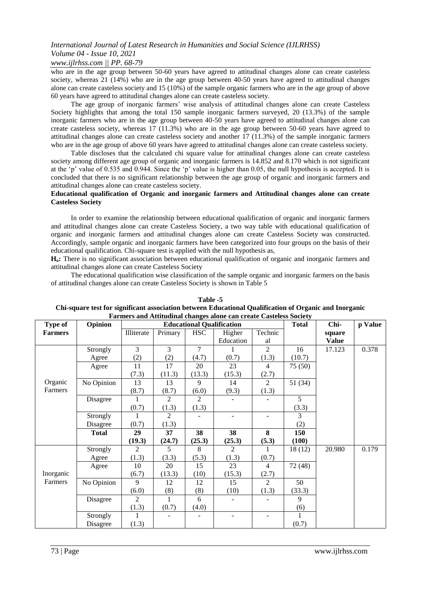# *www.ijlrhss.com || PP. 68-79*

who are in the age group between 50-60 years have agreed to attitudinal changes alone can create casteless society, whereas 21 (14%) who are in the age group between 40-50 years have agreed to attitudinal changes alone can create casteless society and 15 (10%) of the sample organic farmers who are in the age group of above 60 years have agreed to attitudinal changes alone can create casteless society.

The age group of inorganic farmers' wise analysis of attitudinal changes alone can create Casteless Society highlights that among the total 150 sample inorganic farmers surveyed, 20 (13.3%) of the sample inorganic farmers who are in the age group between 40-50 years have agreed to attitudinal changes alone can create casteless society, whereas 17 (11.3%) who are in the age group between 50-60 years have agreed to attitudinal changes alone can create casteless society and another 17 (11.3%) of the sample inorganic farmers who are in the age group of above 60 years have agreed to attitudinal changes alone can create casteless society.

Table discloses that the calculated chi square value for attitudinal changes alone can create casteless society among different age group of organic and inorganic farmers is 14.852 and 8.170 which is not significant at the 'p' value of 0.535 and 0.944. Since the 'p' value is higher than 0.05, the null hypothesis is accepted. It is concluded that there is no significant relationship between the age group of organic and inorganic farmers and attitudinal changes alone can create casteless society.

### **Educational qualification of Organic and inorganic farmers and Attitudinal changes alone can create Casteless Society**

In order to examine the relationship between educational qualification of organic and inorganic farmers and attitudinal changes alone can create Casteless Society, a two way table with educational qualification of organic and inorganic farmers and attitudinal changes alone can create Casteless Society was constructed. Accordingly, sample organic and inorganic farmers have been categorized into four groups on the basis of their educational qualification. Chi-square test is applied with the null hypothesis as,

**Ho:** There is no significant association between educational qualification of organic and inorganic farmers and attitudinal changes alone can create Casteless Society

The educational qualification wise classification of the sample organic and inorganic farmers on the basis of attitudinal changes alone can create Casteless Society is shown in Table 5

| Type of        | <b>Opinion</b> |                |                |                | Particis and Attitudinal changes alone can create Casteless Society<br><b>Educational Qualification</b> |                | <b>Total</b> | Chi-         | p Value |
|----------------|----------------|----------------|----------------|----------------|---------------------------------------------------------------------------------------------------------|----------------|--------------|--------------|---------|
| <b>Farmers</b> |                | Illiterate     | Primary        | <b>HSC</b>     | Higher                                                                                                  | Technic        |              | square       |         |
|                |                |                |                |                | Education                                                                                               | al             |              | <b>Value</b> |         |
|                | Strongly       | 3              | 3              | 7              |                                                                                                         | $\overline{2}$ | 16           | 17.123       | 0.378   |
|                | Agree          | (2)            | (2)            | (4.7)          | (0.7)                                                                                                   | (1.3)          | (10.7)       |              |         |
|                | Agree          | 11             | 17             | 20             | 23                                                                                                      | 4              | 75 (50)      |              |         |
|                |                | (7.3)          | (11.3)         | (13.3)         | (15.3)                                                                                                  | (2.7)          |              |              |         |
| Organic        | No Opinion     | 13             | 13             | 9              | 14                                                                                                      | $\overline{2}$ | 51(34)       |              |         |
| Farmers        |                | (8.7)          | (8.7)          | (6.0)          | (9.3)                                                                                                   | (1.3)          |              |              |         |
|                | Disagree       |                | $\mathfrak{D}$ | $\mathfrak{D}$ |                                                                                                         |                | 5            |              |         |
|                |                | (0.7)          | (1.3)          | (1.3)          |                                                                                                         |                | (3.3)        |              |         |
|                | Strongly       |                | 2              |                |                                                                                                         |                | 3            |              |         |
|                | Disagree       | (0.7)          | (1.3)          |                |                                                                                                         |                | (2)          |              |         |
|                | <b>Total</b>   | 29             | 37             | 38             | 38                                                                                                      | 8              | 150          |              |         |
|                |                | (19.3)         | (24.7)         | (25.3)         | (25.3)                                                                                                  | (5.3)          | (100)        |              |         |
|                | Strongly       | 2              | 5.             | 8              | 2                                                                                                       |                | 18 (12)      | 20.980       | 0.179   |
|                | Agree          | (1.3)          | (3.3)          | (5.3)          | (1.3)                                                                                                   | (0.7)          |              |              |         |
|                | Agree          | 10             | 20             | 15             | 23                                                                                                      | 4              | 72 (48)      |              |         |
| Inorganic      |                | (6.7)          | (13.3)         | (10)           | (15.3)                                                                                                  | (2.7)          |              |              |         |
| Farmers        | No Opinion     | 9              | 12             | 12             | 15                                                                                                      | 2              | 50           |              |         |
|                |                | (6.0)          | (8)            | (8)            | (10)                                                                                                    | (1.3)          | (33.3)       |              |         |
|                | Disagree       | $\mathfrak{D}$ | 1              | 6              |                                                                                                         |                | 9            |              |         |
|                |                | (1.3)          | (0.7)          | (4.0)          |                                                                                                         |                | (6)          |              |         |
|                | Strongly       |                |                |                |                                                                                                         |                |              |              |         |
|                | Disagree       | (1.3)          |                |                |                                                                                                         |                | (0.7)        |              |         |

#### **Table -5 Chi-square test for significant association between Educational Qualification of Organic and Inorganic Farmers and Attitudinal changes alone can create Casteless Society**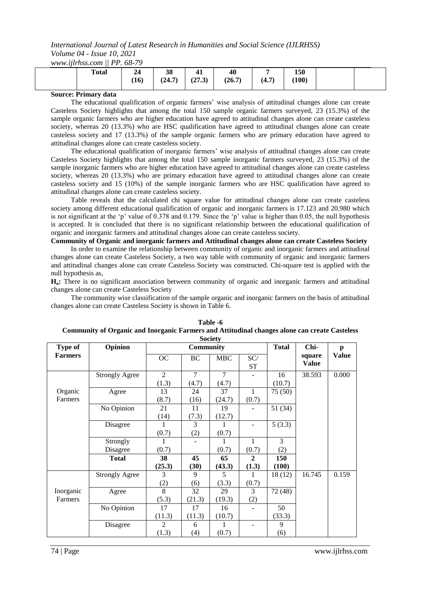*www.ijlrhss.com || PP. 68-79*

| <b>Total</b> | ---------<br>24<br>~−<br>$\left(16\right)$ | 38<br>(24.7) | −<br>(27.3) | 40<br>(26.7) | (4.7) | 150<br>(100) |  |
|--------------|--------------------------------------------|--------------|-------------|--------------|-------|--------------|--|
|              |                                            |              |             |              |       |              |  |

### **Source: Primary data**

The educational qualification of organic farmers' wise analysis of attitudinal changes alone can create Casteless Society highlights that among the total 150 sample organic farmers surveyed, 23 (15.3%) of the sample organic farmers who are higher education have agreed to attitudinal changes alone can create casteless society, whereas 20 (13.3%) who are HSC qualification have agreed to attitudinal changes alone can create casteless society and 17 (13.3%) of the sample organic farmers who are primary education have agreed to attitudinal changes alone can create casteless society.

The educational qualification of inorganic farmers' wise analysis of attitudinal changes alone can create Casteless Society highlights that among the total 150 sample inorganic farmers surveyed, 23 (15.3%) of the sample inorganic farmers who are higher education have agreed to attitudinal changes alone can create casteless society, whereas 20 (13.3%) who are primary education have agreed to attitudinal changes alone can create casteless society and 15 (10%) of the sample inorganic farmers who are HSC qualification have agreed to attitudinal changes alone can create casteless society.

Table reveals that the calculated chi square value for attitudinal changes alone can create casteless society among different educational qualification of organic and inorganic farmers is 17.123 and 20.980 which is not significant at the 'p' value of 0.378 and 0.179. Since the 'p' value is higher than 0.05, the null hypothesis is accepted. It is concluded that there is no significant relationship between the educational qualification of organic and inorganic farmers and attitudinal changes alone can create casteless society.

### **Community of Organic and inorganic farmers and Attitudinal changes alone can create Casteless Society**

In order to examine the relationship between community of organic and inorganic farmers and attitudinal changes alone can create Casteless Society, a two way table with community of organic and inorganic farmers and attitudinal changes alone can create Casteless Society was constructed. Chi-square test is applied with the null hypothesis as,

**Ho:** There is no significant association between community of organic and inorganic farmers and attitudinal changes alone can create Casteless Society

The community wise classification of the sample organic and inorganic farmers on the basis of attitudinal changes alone can create Casteless Society is shown in Table 6.

| <b>Society</b> |                       |                |                  |                |                  |              |              |              |  |  |
|----------------|-----------------------|----------------|------------------|----------------|------------------|--------------|--------------|--------------|--|--|
| <b>Type of</b> | Opinion               |                | <b>Community</b> |                |                  | <b>Total</b> | Chi-         | $\mathbf{p}$ |  |  |
| <b>Farmers</b> |                       | OC             | BC               | <b>MBC</b>     | SC/              |              | square       | <b>Value</b> |  |  |
|                |                       |                |                  |                | <b>ST</b>        |              | <b>Value</b> |              |  |  |
|                | <b>Strongly Agree</b> | $\overline{2}$ | $\overline{7}$   | $\overline{7}$ |                  | 16           | 38.593       | 0.000        |  |  |
|                |                       | (1.3)          | (4.7)            | (4.7)          |                  | (10.7)       |              |              |  |  |
| Organic        | Agree                 | 13             | 24               | 37             | 1                | 75 (50)      |              |              |  |  |
| Farmers        |                       | (8.7)          | (16)             | (24.7)         | (0.7)            |              |              |              |  |  |
|                | No Opinion            | 21             | 11               | 19             |                  | 51 (34)      |              |              |  |  |
|                |                       | (14)           | (7.3)            | (12.7)         |                  |              |              |              |  |  |
|                | Disagree              |                | 3                |                |                  | 5(3.3)       |              |              |  |  |
|                |                       | (0.7)          | (2)              | (0.7)          |                  |              |              |              |  |  |
|                | Strongly              |                |                  | 1              | 1                | 3            |              |              |  |  |
|                | Disagree              | (0.7)          |                  | (0.7)          | (0.7)            | (2)          |              |              |  |  |
|                | <b>Total</b>          | 38             | 45               | 65             | $\boldsymbol{2}$ | 150          |              |              |  |  |
|                |                       | (25.3)         | (30)             | (43.3)         | (1.3)            | (100)        |              |              |  |  |
|                | <b>Strongly Agree</b> | 3              | 9                | 5              | 1                | 18(12)       | 16.745       | 0.159        |  |  |
|                |                       | (2)            | (6)              | (3.3)          | (0.7)            |              |              |              |  |  |
| Inorganic      | Agree                 | 8              | 32               | 29             | 3                | 72 (48)      |              |              |  |  |
| Farmers        |                       | (5.3)          | (21.3)           | (19.3)         | (2)              |              |              |              |  |  |
|                | No Opinion            | 17             | 17               | 16             |                  | 50           |              |              |  |  |
|                |                       | (11.3)         | (11.3)           | (10.7)         |                  | (33.3)       |              |              |  |  |
|                | Disagree              | $\overline{2}$ | 6                | 1              |                  | 9            |              |              |  |  |
|                |                       | (1.3)          | (4)              | (0.7)          |                  | (6)          |              |              |  |  |

| Table -6                                                                                      |
|-----------------------------------------------------------------------------------------------|
| Community of Organic and Inorganic Farmers and Attitudinal changes alone can create Casteless |
| $\mathbf{C}$ . $\mathbf{C}$ . $\mathbf{A}$                                                    |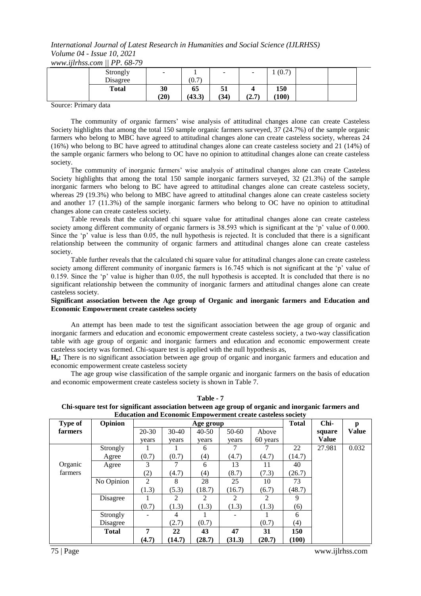*International Journal of Latest Research in Humanities and Social Science (IJLRHSS) Volume 04 - Issue 10, 2021 www.ijlrhss.com || PP. 68-79*

| Strongly     | $\overline{\phantom{a}}$ |        | $\overline{\phantom{0}}$ | $\overline{\phantom{0}}$ | (0.7) |  |  |
|--------------|--------------------------|--------|--------------------------|--------------------------|-------|--|--|
| Disagree     |                          | (0.7)  |                          |                          |       |  |  |
| <b>Total</b> | 30                       | 65     | 51                       |                          | 150   |  |  |
|              | (20)                     | (43.3) | (34)                     | (7. T)<br>4.1            | (100) |  |  |

Source: Primary data

The community of organic farmers' wise analysis of attitudinal changes alone can create Casteless Society highlights that among the total 150 sample organic farmers surveyed, 37 (24.7%) of the sample organic farmers who belong to MBC have agreed to attitudinal changes alone can create casteless society, whereas 24 (16%) who belong to BC have agreed to attitudinal changes alone can create casteless society and 21 (14%) of the sample organic farmers who belong to OC have no opinion to attitudinal changes alone can create casteless society.

The community of inorganic farmers' wise analysis of attitudinal changes alone can create Casteless Society highlights that among the total 150 sample inorganic farmers surveyed, 32 (21.3%) of the sample inorganic farmers who belong to BC have agreed to attitudinal changes alone can create casteless society, whereas 29 (19.3%) who belong to MBC have agreed to attitudinal changes alone can create casteless society and another 17 (11.3%) of the sample inorganic farmers who belong to OC have no opinion to attitudinal changes alone can create casteless society.

Table reveals that the calculated chi square value for attitudinal changes alone can create casteless society among different community of organic farmers is 38.593 which is significant at the 'p' value of 0.000. Since the 'p' value is less than 0.05, the null hypothesis is rejected. It is concluded that there is a significant relationship between the community of organic farmers and attitudinal changes alone can create casteless society.

Table further reveals that the calculated chi square value for attitudinal changes alone can create casteless society among different community of inorganic farmers is 16.745 which is not significant at the 'p' value of 0.159. Since the 'p' value is higher than 0.05, the null hypothesis is accepted. It is concluded that there is no significant relationship between the community of inorganic farmers and attitudinal changes alone can create casteless society.

#### **Significant association between the Age group of Organic and inorganic farmers and Education and Economic Empowerment create casteless society**

An attempt has been made to test the significant association between the age group of organic and inorganic farmers and education and economic empowerment create casteless society, a two-way classification table with age group of organic and inorganic farmers and education and economic empowerment create casteless society was formed. Chi-square test is applied with the null hypothesis as,

**Ho:** There is no significant association between age group of organic and inorganic farmers and education and economic empowerment create casteless society

The age group wise classification of the sample organic and inorganic farmers on the basis of education and economic empowerment create casteless society is shown in Table 7.

|                |              | <b>Equeation and Economic Empowerment create casteless society</b> |         |           |         |          |              |              |              |
|----------------|--------------|--------------------------------------------------------------------|---------|-----------|---------|----------|--------------|--------------|--------------|
| <b>Type of</b> | Opinion      |                                                                    |         | Age group |         |          | <b>Total</b> | Chi-         | p            |
| farmers        |              | $20 - 30$                                                          | $30-40$ | $40 - 50$ | $50-60$ | Above    |              | square       | <b>Value</b> |
|                |              | vears                                                              | years   | years     | vears   | 60 years |              | <b>Value</b> |              |
|                | Strongly     |                                                                    |         | 6         |         |          | 22           | 27.981       | 0.032        |
|                | Agree        | (0.7)                                                              | (0.7)   | (4)       | (4.7)   | (4.7)    | 14.7)        |              |              |
| Organic        | Agree        | 3                                                                  |         | 6         | 13      | 11       | 40           |              |              |
| farmers        |              | (2)                                                                | (4.7)   | (4)       | (8.7)   | (7.3)    | (26.7)       |              |              |
|                | No Opinion   | $\mathfrak{D}$                                                     | 8       | 28        | 25      | 10       | 73           |              |              |
|                |              | (1.3)                                                              | (5.3)   | (18.7)    | (16.7)  | (6.7)    | (48.7)       |              |              |
|                | Disagree     |                                                                    | 2       | 2         | 2       | 2        | 9            |              |              |
|                |              | (0.7)                                                              | (1.3)   | (1.3)     | (1.3)   | (1.3)    | (6)          |              |              |
|                | Strongly     |                                                                    | 4       |           |         |          | 6            |              |              |
|                | Disagree     |                                                                    | (2.7)   | (0.7)     |         | (0.7)    | (4)          |              |              |
|                | <b>Total</b> | 7                                                                  | 22      | 43        | 47      | 31       | 150          |              |              |
|                |              | (4.7)                                                              | (14.7)  | (28.7)    | (31.3)  | (20.7)   | (100)        |              |              |

**Table - 7 Chi-square test for significant association between age group of organic and inorganic farmers and Education and Economic Empowerment create casteless society**

75 | Page www.ijlrhss.com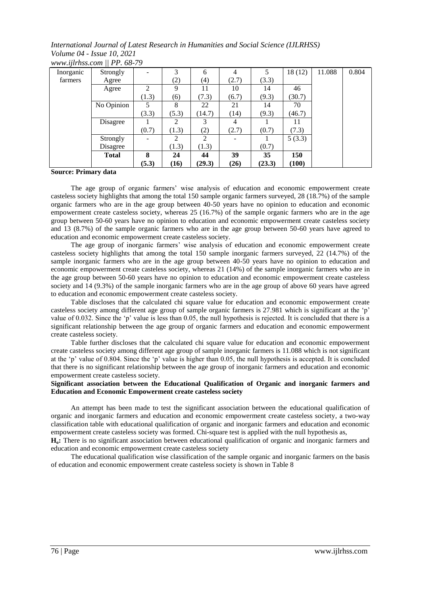| Inorganic | Strongly     |       | 3              | 6      |       | 5      | 18 (12) | 11.088 | 0.804 |
|-----------|--------------|-------|----------------|--------|-------|--------|---------|--------|-------|
| farmers   | Agree        |       | (2)            | (4)    | (2.7) | (3.3)  |         |        |       |
|           | Agree        | C     | 9              | 11     | 10    | 14     | 46      |        |       |
|           |              | (1.3) | (6)            | (7.3)  | (6.7) | (9.3)  | (30.7)  |        |       |
|           | No Opinion   | 5     | 8              | 22     | 21    | 14     | 70      |        |       |
|           |              | (3.3) | (5.3)          | (14.7) | (14)  | (9.3)  | (46.7)  |        |       |
|           | Disagree     |       | 2              |        |       |        | 11      |        |       |
|           |              | (0.7) | (1.3)          | (2)    | (2.7) | (0.7)  | (7.3)   |        |       |
|           | Strongly     |       | $\mathfrak{D}$ | 2      |       |        | 5(3.3)  |        |       |
|           | Disagree     |       | (1.3)          | (1.3)  |       | (0.7)  |         |        |       |
|           | <b>Total</b> | 8     | 24             | 44     | 39    | 35     | 150     |        |       |
|           |              | (5.3) | (16)           | (29.3) | (26)  | (23.3) | (100)   |        |       |

*www.ijlrhss.com || PP. 68-79*

### **Source: Primary data**

The age group of organic farmers' wise analysis of education and economic empowerment create casteless society highlights that among the total 150 sample organic farmers surveyed, 28 (18.7%) of the sample organic farmers who are in the age group between 40-50 years have no opinion to education and economic empowerment create casteless society, whereas 25 (16.7%) of the sample organic farmers who are in the age group between 50-60 years have no opinion to education and economic empowerment create casteless society and 13 (8.7%) of the sample organic farmers who are in the age group between 50-60 years have agreed to education and economic empowerment create casteless society.

The age group of inorganic farmers' wise analysis of education and economic empowerment create casteless society highlights that among the total 150 sample inorganic farmers surveyed, 22 (14.7%) of the sample inorganic farmers who are in the age group between 40-50 years have no opinion to education and economic empowerment create casteless society, whereas 21 (14%) of the sample inorganic farmers who are in the age group between 50-60 years have no opinion to education and economic empowerment create casteless society and 14 (9.3%) of the sample inorganic farmers who are in the age group of above 60 years have agreed to education and economic empowerment create casteless society.

Table discloses that the calculated chi square value for education and economic empowerment create casteless society among different age group of sample organic farmers is 27.981 which is significant at the 'p' value of 0.032. Since the 'p' value is less than 0.05, the null hypothesis is rejected. It is concluded that there is a significant relationship between the age group of organic farmers and education and economic empowerment create casteless society.

Table further discloses that the calculated chi square value for education and economic empowerment create casteless society among different age group of sample inorganic farmers is 11.088 which is not significant at the 'p' value of 0.804. Since the 'p' value is higher than 0.05, the null hypothesis is accepted. It is concluded that there is no significant relationship between the age group of inorganic farmers and education and economic empowerment create casteless society.

### **Significant association between the Educational Qualification of Organic and inorganic farmers and Education and Economic Empowerment create casteless society**

An attempt has been made to test the significant association between the educational qualification of organic and inorganic farmers and education and economic empowerment create casteless society, a two-way classification table with educational qualification of organic and inorganic farmers and education and economic empowerment create casteless society was formed. Chi-square test is applied with the null hypothesis as,

**Ho:** There is no significant association between educational qualification of organic and inorganic farmers and education and economic empowerment create casteless society

The educational qualification wise classification of the sample organic and inorganic farmers on the basis of education and economic empowerment create casteless society is shown in Table 8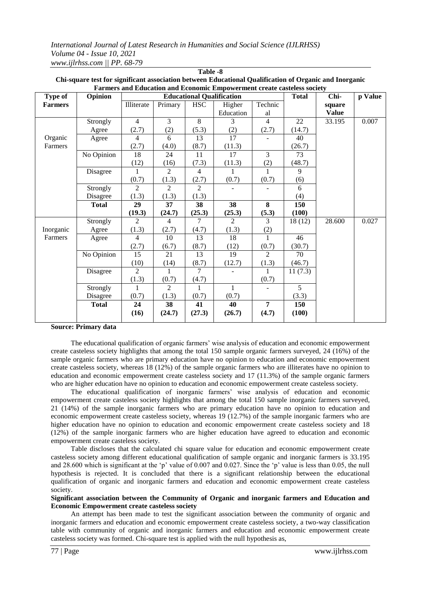| Farmers and Education and Economic Empowerment create casteless society |              |                |                |                |                                  |                |              |              |         |  |  |
|-------------------------------------------------------------------------|--------------|----------------|----------------|----------------|----------------------------------|----------------|--------------|--------------|---------|--|--|
| Type of                                                                 | Opinion      |                |                |                | <b>Educational Qualification</b> |                | <b>Total</b> | Chi-         | p Value |  |  |
| <b>Farmers</b>                                                          |              | Illiterate     | Primary        | <b>HSC</b>     | Higher                           | Technic        |              | square       |         |  |  |
|                                                                         |              |                |                |                | Education                        | al             |              | <b>Value</b> |         |  |  |
|                                                                         | Strongly     | $\overline{4}$ | 3              | 8              | 3                                | $\overline{4}$ | 22           | 33.195       | 0.007   |  |  |
|                                                                         | Agree        | (2.7)          | (2)            | (5.3)          | (2)                              | (2.7)          | (14.7)       |              |         |  |  |
| Organic                                                                 | Agree        | $\overline{4}$ | 6              | 13             | 17                               |                | 40           |              |         |  |  |
| Farmers                                                                 |              | (2.7)          | (4.0)          | (8.7)          | (11.3)                           |                | (26.7)       |              |         |  |  |
|                                                                         | No Opinion   | 18             | 24             | 11             | 17                               | $\overline{3}$ | 73           |              |         |  |  |
|                                                                         |              | (12)           | (16)           | (7.3)          | (11.3)                           | (2)            | (48.7)       |              |         |  |  |
|                                                                         | Disagree     |                | 2              | 4              |                                  |                | 9            |              |         |  |  |
|                                                                         |              | (0.7)          | (1.3)          | (2.7)          | (0.7)                            | (0.7)          | (6)          |              |         |  |  |
|                                                                         | Strongly     | $\overline{2}$ | 2              | $\overline{2}$ |                                  |                | 6            |              |         |  |  |
|                                                                         | Disagree     | (1.3)          | (1.3)          | (1.3)          |                                  |                | (4)          |              |         |  |  |
|                                                                         | <b>Total</b> | 29             | 37             | 38             | 38                               | 8              | 150          |              |         |  |  |
|                                                                         |              | (19.3)         | (24.7)         | (25.3)         | (25.3)                           | (5.3)          | (100)        |              |         |  |  |
|                                                                         | Strongly     | 2              | $\overline{4}$ | 7              | $\overline{2}$                   | 3              | 18(12)       | 28.600       | 0.027   |  |  |
| Inorganic                                                               | Agree        | (1.3)          | (2.7)          | (4.7)          | (1.3)                            | (2)            |              |              |         |  |  |
| Farmers                                                                 | Agree        | $\overline{4}$ | 10             | 13             | 18                               | $\overline{1}$ | 46           |              |         |  |  |
|                                                                         |              | (2.7)          | (6.7)          | (8.7)          | (12)                             | (0.7)          | (30.7)       |              |         |  |  |
|                                                                         | No Opinion   | 15             | 21             | 13             | 19                               | $\overline{2}$ | 70           |              |         |  |  |
|                                                                         |              | (10)           | (14)           | (8.7)          | (12.7)                           | (1.3)          | (46.7)       |              |         |  |  |
|                                                                         | Disagree     | $\overline{2}$ | 1              | 7              |                                  | $\mathbf{1}$   | 11(7.3)      |              |         |  |  |
|                                                                         |              | (1.3)          | (0.7)          | (4.7)          |                                  | (0.7)          |              |              |         |  |  |
|                                                                         | Strongly     | 1              | $\overline{2}$ |                | $\mathbf{1}$                     |                | 5            |              |         |  |  |
|                                                                         | Disagree     | (0.7)          | (1.3)          | (0.7)          | (0.7)                            |                | (3.3)        |              |         |  |  |
|                                                                         | <b>Total</b> | 24             | 38             | 41             | 40                               | $\overline{7}$ | 150          |              |         |  |  |
|                                                                         |              | (16)           | (24.7)         | (27.3)         | (26.7)                           | (4.7)          | (100)        |              |         |  |  |
|                                                                         |              |                |                |                |                                  |                |              |              |         |  |  |

| Table -8                                                                                               |
|--------------------------------------------------------------------------------------------------------|
| Chi-square test for significant association between Educational Qualification of Organic and Inorganic |
| <b>Farmers and Education and Economic Empowerment create casteless society</b>                         |

### **Source: Primary data**

The educational qualification of organic farmers' wise analysis of education and economic empowerment create casteless society highlights that among the total 150 sample organic farmers surveyed, 24 (16%) of the sample organic farmers who are primary education have no opinion to education and economic empowerment create casteless society, whereas 18 (12%) of the sample organic farmers who are illiterates have no opinion to education and economic empowerment create casteless society and 17 (11.3%) of the sample organic farmers who are higher education have no opinion to education and economic empowerment create casteless society.

The educational qualification of inorganic farmers' wise analysis of education and economic empowerment create casteless society highlights that among the total 150 sample inorganic farmers surveyed, 21 (14%) of the sample inorganic farmers who are primary education have no opinion to education and economic empowerment create casteless society, whereas 19 (12.7%) of the sample inorganic farmers who are higher education have no opinion to education and economic empowerment create casteless society and 18 (12%) of the sample inorganic farmers who are higher education have agreed to education and economic empowerment create casteless society.

Table discloses that the calculated chi square value for education and economic empowerment create casteless society among different educational qualification of sample organic and inorganic farmers is 33.195 and 28.600 which is significant at the 'p' value of 0.007 and 0.027. Since the 'p' value is less than 0.05, the null hypothesis is rejected. It is concluded that there is a significant relationship between the educational qualification of organic and inorganic farmers and education and economic empowerment create casteless society.

**Significant association between the Community of Organic and inorganic farmers and Education and Economic Empowerment create casteless society**

An attempt has been made to test the significant association between the community of organic and inorganic farmers and education and economic empowerment create casteless society, a two-way classification table with community of organic and inorganic farmers and education and economic empowerment create casteless society was formed. Chi-square test is applied with the null hypothesis as,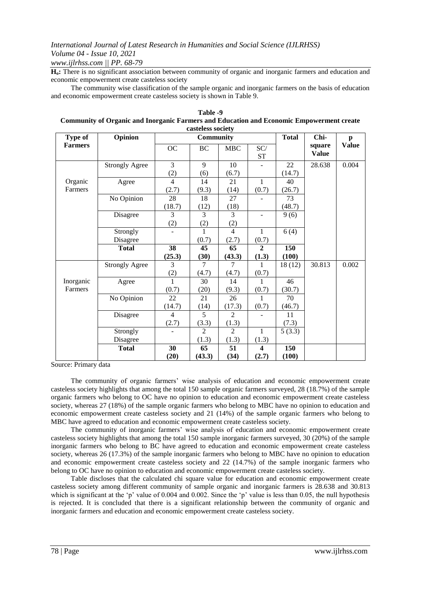# *www.ijlrhss.com || PP. 68-79*

**Ho:** There is no significant association between community of organic and inorganic farmers and education and economic empowerment create casteless society

The community wise classification of the sample organic and inorganic farmers on the basis of education and economic empowerment create casteless society is shown in Table 9.

| casteless society |                       |                |                |                |                         |              |                        |              |  |  |
|-------------------|-----------------------|----------------|----------------|----------------|-------------------------|--------------|------------------------|--------------|--|--|
| <b>Type of</b>    | Opinion               | Community      |                |                |                         | <b>Total</b> | Chi-                   | $\mathbf{p}$ |  |  |
| <b>Farmers</b>    |                       | OC             | BC             | <b>MBC</b>     | SC/<br><b>ST</b>        |              | square<br><b>Value</b> | <b>Value</b> |  |  |
|                   | <b>Strongly Agree</b> | 3              | $\mathbf{Q}$   | 10             |                         | 22           | 28.638                 | 0.004        |  |  |
|                   |                       | (2)            | (6)            | (6.7)          |                         | (14.7)       |                        |              |  |  |
| Organic           | Agree                 | $\overline{4}$ | 14             | 21             | $\mathbf{1}$            | 40           |                        |              |  |  |
| Farmers           |                       | (2.7)          | (9.3)          | (14)           | (0.7)                   | (26.7)       |                        |              |  |  |
|                   | No Opinion            | 28             | 18             | 27             |                         | 73           |                        |              |  |  |
|                   |                       | (18.7)         | (12)           | (18)           |                         | (48.7)       |                        |              |  |  |
|                   | Disagree              | 3              | 3              | 3              |                         | 9(6)         |                        |              |  |  |
|                   |                       | (2)            | (2)            | (2)            |                         |              |                        |              |  |  |
|                   | Strongly              |                | $\mathbf{1}$   | $\overline{4}$ | $\mathbf{1}$            | 6(4)         |                        |              |  |  |
|                   | Disagree              |                | (0.7)          | (2.7)          | (0.7)                   |              |                        |              |  |  |
|                   | <b>Total</b>          | 38             | 45             | 65             | $\overline{2}$          | 150          |                        |              |  |  |
|                   |                       | (25.3)         | (30)           | (43.3)         | (1.3)                   | (100)        |                        |              |  |  |
|                   | <b>Strongly Agree</b> | 3              | $\tau$         | 7              | 1                       | 18(12)       | 30.813                 | 0.002        |  |  |
|                   |                       | (2)            | (4.7)          | (4.7)          | (0.7)                   |              |                        |              |  |  |
| Inorganic         | Agree                 | 1              | 30             | 14             | 1                       | 46           |                        |              |  |  |
| Farmers           |                       | (0.7)          | (20)           | (9.3)          | (0.7)                   | (30.7)       |                        |              |  |  |
|                   | No Opinion            | 22             | 21             | 26             | 1                       | 70           |                        |              |  |  |
|                   |                       | (14.7)         | (14)           | (17.3)         | (0.7)                   | (46.7)       |                        |              |  |  |
|                   | Disagree              | $\overline{4}$ | $\overline{5}$ | $\mathfrak{D}$ |                         | 11           |                        |              |  |  |
|                   |                       | (2.7)          | (3.3)          | (1.3)          |                         | (7.3)        |                        |              |  |  |
|                   | Strongly              |                | 2              | $\overline{c}$ | $\mathbf{1}$            | 5(3.3)       |                        |              |  |  |
|                   | Disagree              |                | (1.3)          | (1.3)          | (1.3)                   |              |                        |              |  |  |
|                   | <b>Total</b>          | 30             | 65             | 51             | $\overline{\mathbf{4}}$ | 150          |                        |              |  |  |
|                   |                       | (20)           | (43.3)         | (34)           | (2.7)                   | (100)        |                        |              |  |  |

**Table -9 Community of Organic and Inorganic Farmers and Education and Economic Empowerment create** 

Source: Primary data

The community of organic farmers' wise analysis of education and economic empowerment create casteless society highlights that among the total 150 sample organic farmers surveyed, 28 (18.7%) of the sample organic farmers who belong to OC have no opinion to education and economic empowerment create casteless society, whereas 27 (18%) of the sample organic farmers who belong to MBC have no opinion to education and economic empowerment create casteless society and 21 (14%) of the sample organic farmers who belong to MBC have agreed to education and economic empowerment create casteless society.

The community of inorganic farmers' wise analysis of education and economic empowerment create casteless society highlights that among the total 150 sample inorganic farmers surveyed, 30 (20%) of the sample inorganic farmers who belong to BC have agreed to education and economic empowerment create casteless society, whereas 26 (17.3%) of the sample inorganic farmers who belong to MBC have no opinion to education and economic empowerment create casteless society and 22 (14.7%) of the sample inorganic farmers who belong to OC have no opinion to education and economic empowerment create casteless society.

Table discloses that the calculated chi square value for education and economic empowerment create casteless society among different community of sample organic and inorganic farmers is 28.638 and 30.813 which is significant at the 'p' value of 0.004 and 0.002. Since the 'p' value is less than 0.05, the null hypothesis is rejected. It is concluded that there is a significant relationship between the community of organic and inorganic farmers and education and economic empowerment create casteless society.